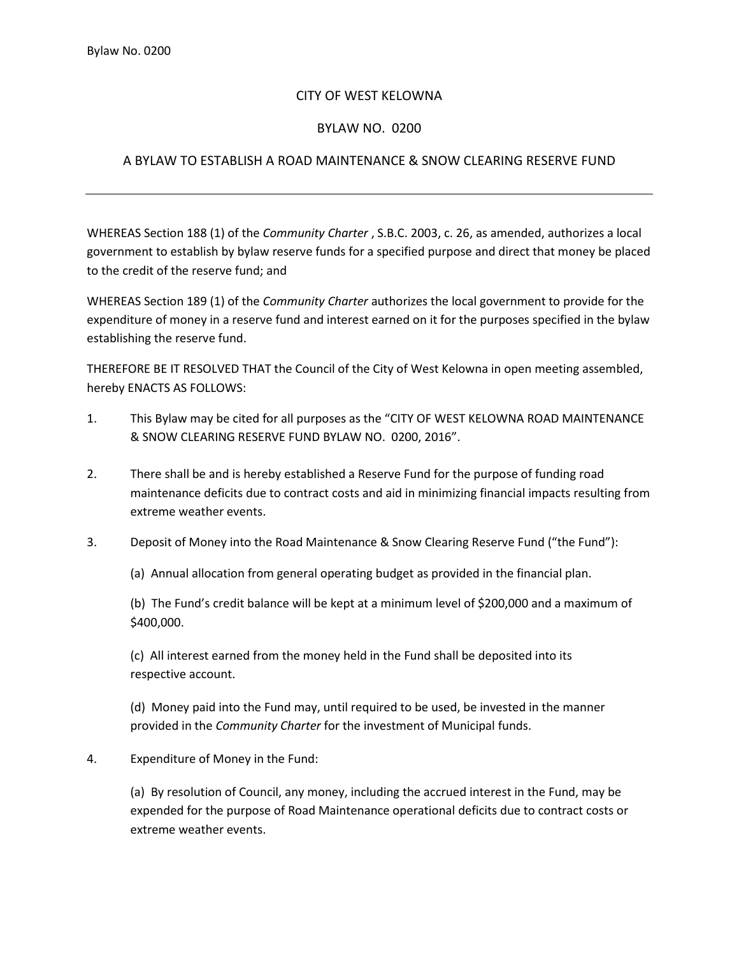## CITY OF WEST KELOWNA

## BYLAW NO. 0200

## A BYLAW TO ESTABLISH A ROAD MAINTENANCE & SNOW CLEARING RESERVE FUND

WHEREAS Section 188 (1) of the *Community Charter* , S.B.C. 2003, c. 26, as amended, authorizes a local government to establish by bylaw reserve funds for a specified purpose and direct that money be placed to the credit of the reserve fund; and

WHEREAS Section 189 (1) of the *Community Charter* authorizes the local government to provide for the expenditure of money in a reserve fund and interest earned on it for the purposes specified in the bylaw establishing the reserve fund.

THEREFORE BE IT RESOLVED THAT the Council of the City of West Kelowna in open meeting assembled, hereby ENACTS AS FOLLOWS:

- 1. This Bylaw may be cited for all purposes as the "CITY OF WEST KELOWNA ROAD MAINTENANCE & SNOW CLEARING RESERVE FUND BYLAW NO. 0200, 2016".
- 2. There shall be and is hereby established a Reserve Fund for the purpose of funding road maintenance deficits due to contract costs and aid in minimizing financial impacts resulting from extreme weather events.
- 3. Deposit of Money into the Road Maintenance & Snow Clearing Reserve Fund ("the Fund"):

(a) Annual allocation from general operating budget as provided in the financial plan.

(b) The Fund's credit balance will be kept at a minimum level of \$200,000 and a maximum of \$400,000.

(c) All interest earned from the money held in the Fund shall be deposited into its respective account.

(d) Money paid into the Fund may, until required to be used, be invested in the manner provided in the *Community Charter* for the investment of Municipal funds.

## 4. Expenditure of Money in the Fund:

(a) By resolution of Council, any money, including the accrued interest in the Fund, may be expended for the purpose of Road Maintenance operational deficits due to contract costs or extreme weather events.